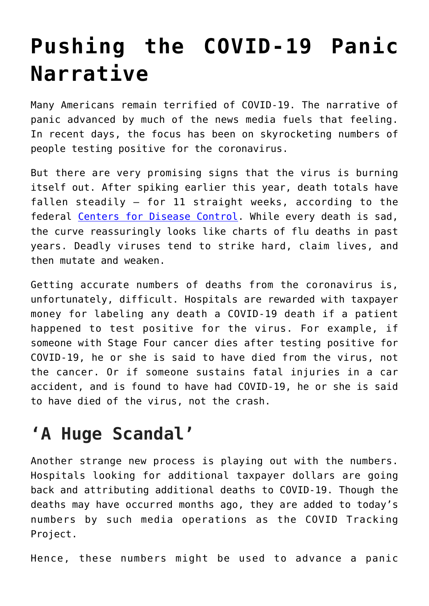## **[Pushing the COVID-19 Panic](https://intellectualtakeout.org/2020/07/pushing-the-covid-19-panic-narrative/) [Narrative](https://intellectualtakeout.org/2020/07/pushing-the-covid-19-panic-narrative/)**

Many Americans remain terrified of COVID-19. The narrative of panic advanced by much of the news media fuels that feeling. In recent days, the focus has been on skyrocketing numbers of people testing positive for the coronavirus.

But there are very promising signs that the virus is burning itself out. After spiking earlier this year, death totals have fallen steadily – for 11 straight weeks, according to the federal [Centers for Disease Control](https://www.cdc.gov/coronavirus/2019-ncov/covid-data/covidview/index.html). While every death is sad, the curve reassuringly looks like charts of flu deaths in past years. Deadly viruses tend to strike hard, claim lives, and then mutate and weaken.

Getting accurate numbers of deaths from the coronavirus is, unfortunately, difficult. Hospitals are rewarded with taxpayer money for labeling any death a COVID-19 death if a patient happened to test positive for the virus. For example, if someone with Stage Four cancer dies after testing positive for COVID-19, he or she is said to have died from the virus, not the cancer. Or if someone sustains fatal injuries in a car accident, and is found to have had COVID-19, he or she is said to have died of the virus, not the crash.

## **'A Huge Scandal'**

Another strange new process is playing out with the numbers. Hospitals looking for additional taxpayer dollars are going back and attributing additional deaths to COVID-19. Though the deaths may have occurred months ago, they are added to today's numbers by such media operations as the COVID Tracking Project.

Hence, these numbers might be used to advance a panic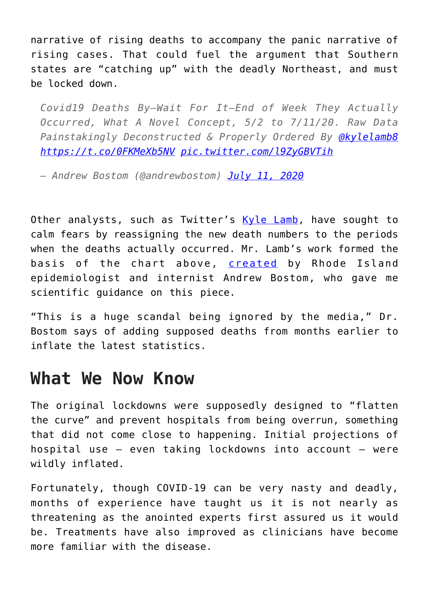narrative of rising deaths to accompany the panic narrative of rising cases. That could fuel the argument that Southern states are "catching up" with the deadly Northeast, and must be locked down.

*Covid19 Deaths By—Wait For It—End of Week They Actually Occurred, What A Novel Concept, 5/2 to 7/11/20. Raw Data Painstakingly Deconstructed & Properly Ordered By [@kylelamb8](https://twitter.com/kylelamb8?ref_src=twsrc%5Etfw) <https://t.co/0FKMeXb5NV> [pic.twitter.com/l9ZyGBVTih](https://t.co/l9ZyGBVTih)*

*— Andrew Bostom (@andrewbostom) [July 11, 2020](https://twitter.com/andrewbostom/status/1281984419499302912?ref_src=twsrc%5Etfw)*

Other analysts, such as Twitter's [Kyle Lamb](https://twitter.com/kylamb8/status/1281778023935737858), have sought to calm fears by reassigning the new death numbers to the periods when the deaths actually occurred. Mr. Lamb's work formed the basis of the chart above, [created](https://twitter.com/andrewbostom/status/1281984419499302912) by Rhode Island epidemiologist and internist Andrew Bostom, who gave me scientific guidance on this piece.

"This is a huge scandal being ignored by the media," Dr. Bostom says of adding supposed deaths from months earlier to inflate the latest statistics.

## **What We Now Know**

The original lockdowns were supposedly designed to "flatten the curve" and prevent hospitals from being overrun, something that did not come close to happening. Initial projections of hospital use – even taking lockdowns into account – were wildly inflated.

Fortunately, though COVID-19 can be very nasty and deadly, months of experience have taught us it is not nearly as threatening as the anointed experts first assured us it would be. Treatments have also improved as clinicians have become more familiar with the disease.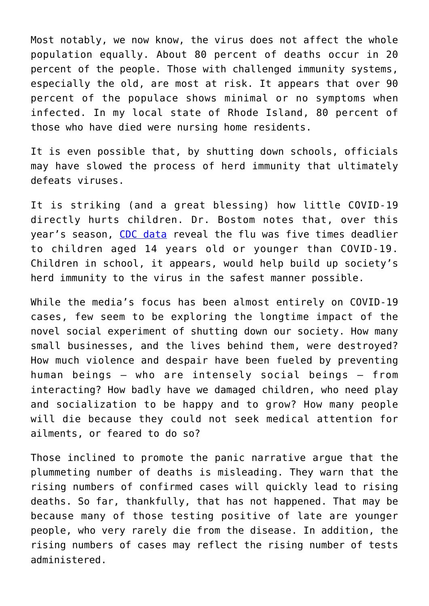Most notably, we now know, the virus does not affect the whole population equally. About 80 percent of deaths occur in 20 percent of the people. Those with challenged immunity systems, especially the old, are most at risk. It appears that over 90 percent of the populace shows minimal or no symptoms when infected. In my local state of Rhode Island, 80 percent of those who have died were nursing home residents.

It is even possible that, by shutting down schools, officials may have slowed the process of herd immunity that ultimately defeats viruses.

It is striking (and a great blessing) how little COVID-19 directly hurts children. Dr. Bostom notes that, over this year's season, [CDC data](https://twitter.com/andrewbostom/status/1281930695695163394/photo/1) reveal the flu was five times deadlier to children aged 14 years old or younger than COVID-19. Children in school, it appears, would help build up society's herd immunity to the virus in the safest manner possible.

While the media's focus has been almost entirely on COVID-19 cases, few seem to be exploring the longtime impact of the novel social experiment of shutting down our society. How many small businesses, and the lives behind them, were destroyed? How much violence and despair have been fueled by preventing human beings – who are intensely social beings – from interacting? How badly have we damaged children, who need play and socialization to be happy and to grow? How many people will die because they could not seek medical attention for ailments, or feared to do so?

Those inclined to promote the panic narrative argue that the plummeting number of deaths is misleading. They warn that the rising numbers of confirmed cases will quickly lead to rising deaths. So far, thankfully, that has not happened. That may be because many of those testing positive of late are younger people, who very rarely die from the disease. In addition, the rising numbers of cases may reflect the rising number of tests administered.